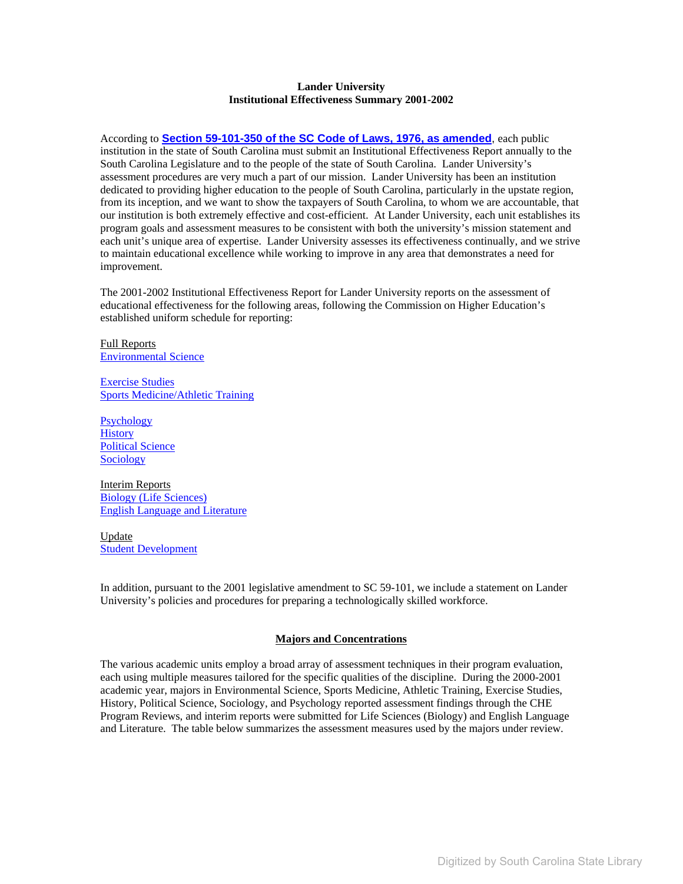# **Lander University Institutional Effectiveness Summary 2001-2002**

According to **[Section 59-101-350 of the SC Code of Laws, 1976, as amended](http://www.lpitr.state.sc.us/code/t59c101.htm)**, each public institution in the state of South Carolina must submit an Institutional Effectiveness Report annually to the South Carolina Legislature and to the people of the state of South Carolina. Lander University's assessment procedures are very much a part of our mission. Lander University has been an institution dedicated to providing higher education to the people of South Carolina, particularly in the upstate region, from its inception, and we want to show the taxpayers of South Carolina, to whom we are accountable, that our institution is both extremely effective and cost-efficient. At Lander University, each unit establishes its program goals and assessment measures to be consistent with both the university's mission statement and each unit's unique area of expertise. Lander University assesses its effectiveness continually, and we strive to maintain educational excellence while working to improve in any area that demonstrates a need for improvement.

The 2001-2002 Institutional Effectiveness Report for Lander University reports on the assessment of educational effectiveness for the following areas, following the Commission on Higher Education's established uniform schedule for reporting:

Full Reports [Environmental Science](#page-1-0)

[Exercise Studies](#page-3-0) [Sports Medicine/Athletic Training](#page-5-0)

**[Psychology](#page-6-0) [History](#page-9-0)** [Political Science](#page-12-0) [Sociology](#page-13-0) 

Interim Reports [Biology \(Life Sciences\)](#page-15-0) [English Language and Literature](#page-15-0)

Update [Student Development](#page-16-0)

In addition, pursuant to the 2001 legislative amendment to SC 59-101, we include a statement on Lander University's policies and procedures for preparing a technologically skilled workforce.

# **Majors and Concentrations**

The various academic units employ a broad array of assessment techniques in their program evaluation, each using multiple measures tailored for the specific qualities of the discipline. During the 2000-2001 academic year, majors in Environmental Science, Sports Medicine, Athletic Training, Exercise Studies, History, Political Science, Sociology, and Psychology reported assessment findings through the CHE Program Reviews, and interim reports were submitted for Life Sciences (Biology) and English Language and Literature. The table below summarizes the assessment measures used by the majors under review.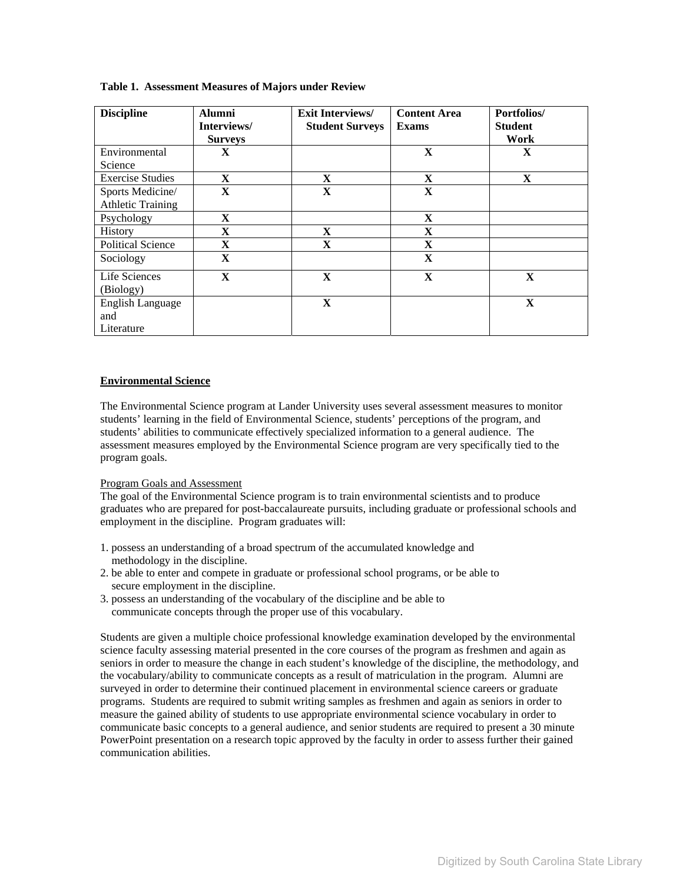| <b>Discipline</b>        | <b>Alumni</b>  | <b>Exit Interviews/</b> | <b>Content Area</b> | <b>Portfolios</b> / |
|--------------------------|----------------|-------------------------|---------------------|---------------------|
|                          | Interviews/    | <b>Student Surveys</b>  | <b>Exams</b>        | <b>Student</b>      |
|                          | <b>Surveys</b> |                         |                     | Work                |
| Environmental            | X              |                         | $\mathbf X$         | X                   |
| Science                  |                |                         |                     |                     |
| <b>Exercise Studies</b>  | $\mathbf{X}$   | X                       | X                   | X                   |
| Sports Medicine/         | $\mathbf{X}$   | $\mathbf{x}$            | $\mathbf{X}$        |                     |
| <b>Athletic Training</b> |                |                         |                     |                     |
| Psychology               | X              |                         | X                   |                     |
| <b>History</b>           | X              | X                       | X                   |                     |
| <b>Political Science</b> | X              | $\mathbf{X}$            | $\mathbf X$         |                     |
| Sociology                | $\mathbf{X}$   |                         | $\mathbf X$         |                     |
| Life Sciences            | $\mathbf{X}$   | X                       | $\mathbf X$         | X                   |
| (Biology)                |                |                         |                     |                     |
| English Language         |                | X                       |                     | $\mathbf{X}$        |
| and                      |                |                         |                     |                     |
| Literature               |                |                         |                     |                     |

<span id="page-1-0"></span>**Table 1. Assessment Measures of Majors under Review** 

# **Environmental Science**

The Environmental Science program at Lander University uses several assessment measures to monitor students' learning in the field of Environmental Science, students' perceptions of the program, and students' abilities to communicate effectively specialized information to a general audience. The assessment measures employed by the Environmental Science program are very specifically tied to the program goals.

# Program Goals and Assessment

The goal of the Environmental Science program is to train environmental scientists and to produce graduates who are prepared for post-baccalaureate pursuits, including graduate or professional schools and employment in the discipline. Program graduates will:

- 1. possess an understanding of a broad spectrum of the accumulated knowledge and methodology in the discipline.
- 2. be able to enter and compete in graduate or professional school programs, or be able to secure employment in the discipline.
- 3. possess an understanding of the vocabulary of the discipline and be able to communicate concepts through the proper use of this vocabulary.

Students are given a multiple choice professional knowledge examination developed by the environmental science faculty assessing material presented in the core courses of the program as freshmen and again as seniors in order to measure the change in each student's knowledge of the discipline, the methodology, and the vocabulary/ability to communicate concepts as a result of matriculation in the program. Alumni are surveyed in order to determine their continued placement in environmental science careers or graduate programs. Students are required to submit writing samples as freshmen and again as seniors in order to measure the gained ability of students to use appropriate environmental science vocabulary in order to communicate basic concepts to a general audience, and senior students are required to present a 30 minute PowerPoint presentation on a research topic approved by the faculty in order to assess further their gained communication abilities.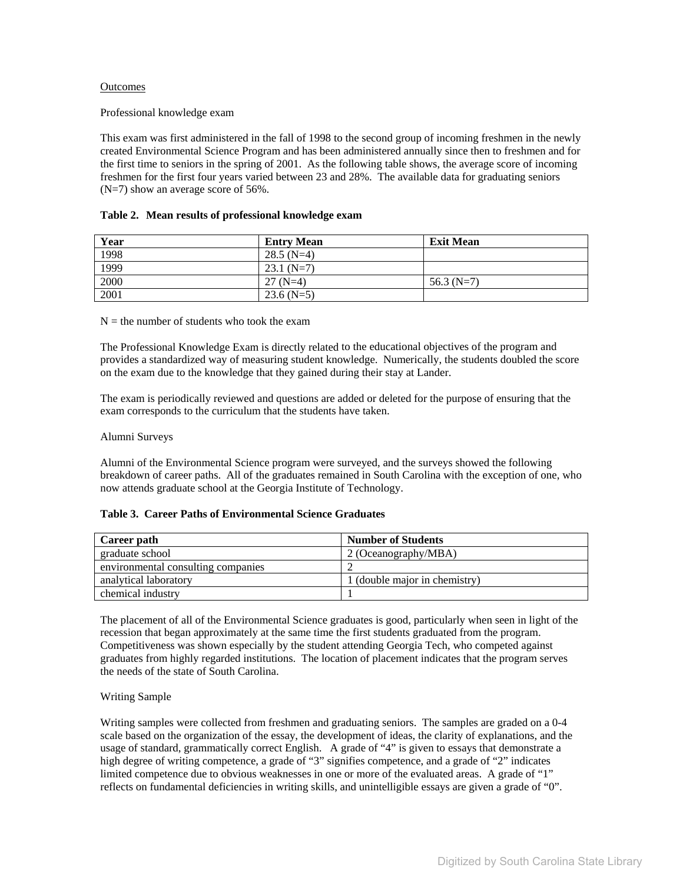# **Outcomes**

## Professional knowledge exam

This exam was first administered in the fall of 1998 to the second group of incoming freshmen in the newly created Environmental Science Program and has been administered annually since then to freshmen and for the first time to seniors in the spring of 2001. As the following table shows, the average score of incoming freshmen for the first four years varied between 23 and 28%. The available data for graduating seniors (N=7) show an average score of 56%.

# **Table 2. Mean results of professional knowledge exam**

| Year | <b>Entry Mean</b> | <b>Exit Mean</b> |
|------|-------------------|------------------|
| 1998 | $28.5$ (N=4)      |                  |
| 1999 | $23.1(N=7)$       |                  |
| 2000 | $27(N=4)$         | 56.3 $(N=7)$     |
| 2001 | $23.6$ (N=5)      |                  |

### $N =$  the number of students who took the exam

The Professional Knowledge Exam is directly related to the educational objectives of the program and provides a standardized way of measuring student knowledge. Numerically, the students doubled the score on the exam due to the knowledge that they gained during their stay at Lander.

The exam is periodically reviewed and questions are added or deleted for the purpose of ensuring that the exam corresponds to the curriculum that the students have taken.

## Alumni Surveys

Alumni of the Environmental Science program were surveyed, and the surveys showed the following breakdown of career paths. All of the graduates remained in South Carolina with the exception of one, who now attends graduate school at the Georgia Institute of Technology.

# **Table 3. Career Paths of Environmental Science Graduates**

| Career path                        | <b>Number of Students</b>     |
|------------------------------------|-------------------------------|
| graduate school                    | 2 (Oceanography/MBA)          |
| environmental consulting companies |                               |
| analytical laboratory              | 1 (double major in chemistry) |
| chemical industry                  |                               |

The placement of all of the Environmental Science graduates is good, particularly when seen in light of the recession that began approximately at the same time the first students graduated from the program. Competitiveness was shown especially by the student attending Georgia Tech, who competed against graduates from highly regarded institutions. The location of placement indicates that the program serves the needs of the state of South Carolina.

# Writing Sample

Writing samples were collected from freshmen and graduating seniors. The samples are graded on a 0-4 scale based on the organization of the essay, the development of ideas, the clarity of explanations, and the usage of standard, grammatically correct English. A grade of "4" is given to essays that demonstrate a high degree of writing competence, a grade of "3" signifies competence, and a grade of "2" indicates limited competence due to obvious weaknesses in one or more of the evaluated areas. A grade of "1" reflects on fundamental deficiencies in writing skills, and unintelligible essays are given a grade of "0".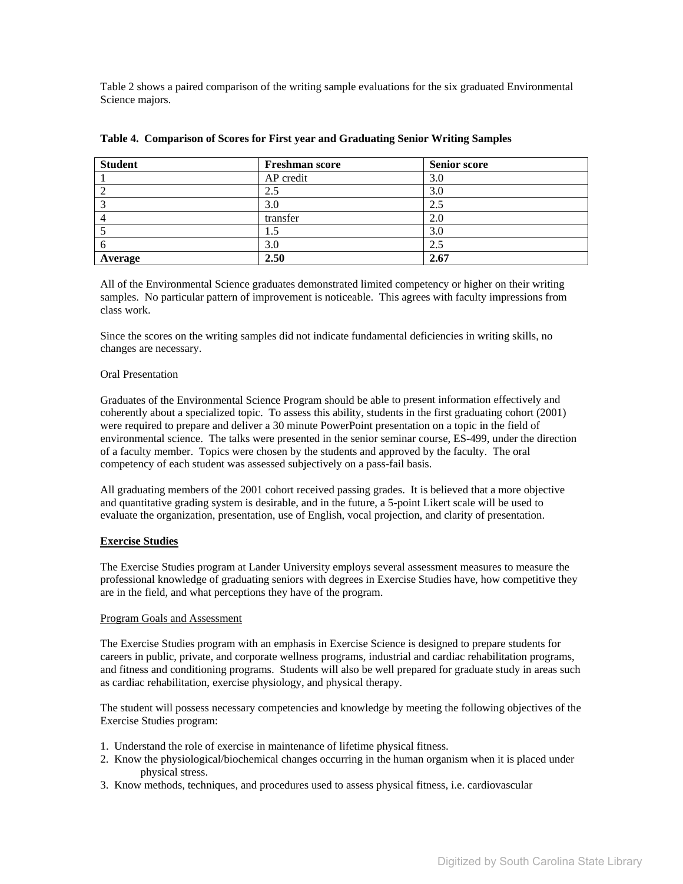<span id="page-3-0"></span>Table 2 shows a paired comparison of the writing sample evaluations for the six graduated Environmental Science majors.

| <b>Student</b> | Freshman score | <b>Senior score</b> |
|----------------|----------------|---------------------|
|                | AP credit      | 3.0                 |
|                | 2.5            | 3.0                 |
|                | 3.0            | 2.5                 |
|                | transfer       | 2.0                 |
|                |                | 3.0                 |
|                | 3.0            | 2.5                 |
| Average        | 2.50           | 2.67                |

| Table 4. Comparison of Scores for First year and Graduating Senior Writing Samples |  |  |  |  |
|------------------------------------------------------------------------------------|--|--|--|--|
|                                                                                    |  |  |  |  |

All of the Environmental Science graduates demonstrated limited competency or higher on their writing samples. No particular pattern of improvement is noticeable. This agrees with faculty impressions from class work.

Since the scores on the writing samples did not indicate fundamental deficiencies in writing skills, no changes are necessary.

# Oral Presentation

Graduates of the Environmental Science Program should be able to present information effectively and coherently about a specialized topic. To assess this ability, students in the first graduating cohort (2001) were required to prepare and deliver a 30 minute PowerPoint presentation on a topic in the field of environmental science. The talks were presented in the senior seminar course, ES-499, under the direction of a faculty member. Topics were chosen by the students and approved by the faculty. The oral competency of each student was assessed subjectively on a pass-fail basis.

All graduating members of the 2001 cohort received passing grades. It is believed that a more objective and quantitative grading system is desirable, and in the future, a 5-point Likert scale will be used to evaluate the organization, presentation, use of English, vocal projection, and clarity of presentation.

# **Exercise Studies**

The Exercise Studies program at Lander University employs several assessment measures to measure the professional knowledge of graduating seniors with degrees in Exercise Studies have, how competitive they are in the field, and what perceptions they have of the program.

# Program Goals and Assessment

The Exercise Studies program with an emphasis in Exercise Science is designed to prepare students for careers in public, private, and corporate wellness programs, industrial and cardiac rehabilitation programs, and fitness and conditioning programs. Students will also be well prepared for graduate study in areas such as cardiac rehabilitation, exercise physiology, and physical therapy.

The student will possess necessary competencies and knowledge by meeting the following objectives of the Exercise Studies program:

- 1. Understand the role of exercise in maintenance of lifetime physical fitness.
- 2. Know the physiological/biochemical changes occurring in the human organism when it is placed under physical stress.
- 3. Know methods, techniques, and procedures used to assess physical fitness, i.e. cardiovascular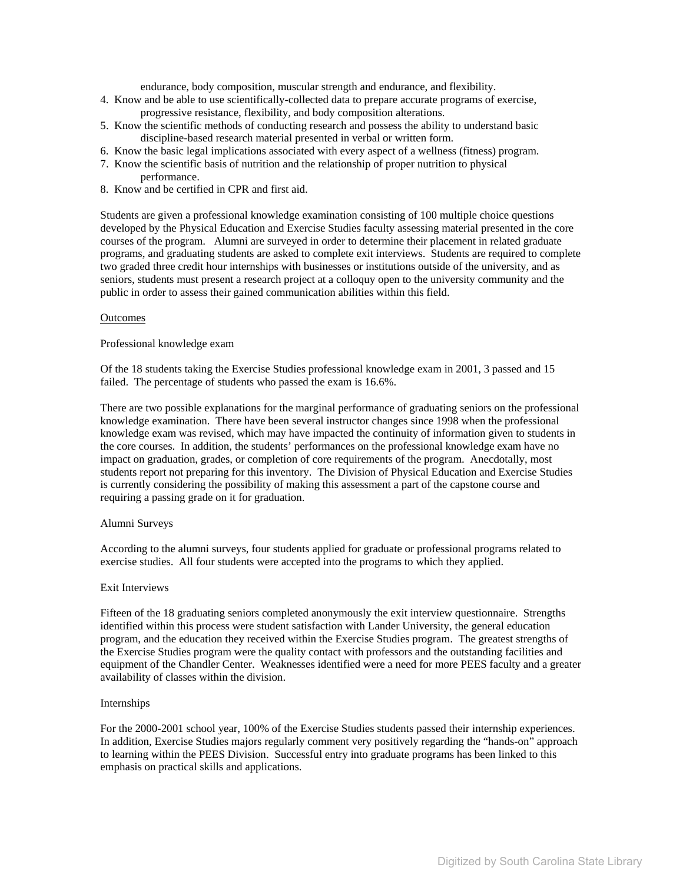endurance, body composition, muscular strength and endurance, and flexibility.

- 4. Know and be able to use scientifically-collected data to prepare accurate programs of exercise, progressive resistance, flexibility, and body composition alterations.
- 5. Know the scientific methods of conducting research and possess the ability to understand basic discipline-based research material presented in verbal or written form.
- 6. Know the basic legal implications associated with every aspect of a wellness (fitness) program.
- 7. Know the scientific basis of nutrition and the relationship of proper nutrition to physical performance.
- 8. Know and be certified in CPR and first aid.

Students are given a professional knowledge examination consisting of 100 multiple choice questions developed by the Physical Education and Exercise Studies faculty assessing material presented in the core courses of the program. Alumni are surveyed in order to determine their placement in related graduate programs, and graduating students are asked to complete exit interviews. Students are required to complete two graded three credit hour internships with businesses or institutions outside of the university, and as seniors, students must present a research project at a colloquy open to the university community and the public in order to assess their gained communication abilities within this field.

### Outcomes

### Professional knowledge exam

Of the 18 students taking the Exercise Studies professional knowledge exam in 2001, 3 passed and 15 failed. The percentage of students who passed the exam is 16.6%.

There are two possible explanations for the marginal performance of graduating seniors on the professional knowledge examination. There have been several instructor changes since 1998 when the professional knowledge exam was revised, which may have impacted the continuity of information given to students in the core courses. In addition, the students' performances on the professional knowledge exam have no impact on graduation, grades, or completion of core requirements of the program. Anecdotally, most students report not preparing for this inventory. The Division of Physical Education and Exercise Studies is currently considering the possibility of making this assessment a part of the capstone course and requiring a passing grade on it for graduation.

# Alumni Surveys

According to the alumni surveys, four students applied for graduate or professional programs related to exercise studies. All four students were accepted into the programs to which they applied.

# Exit Interviews

Fifteen of the 18 graduating seniors completed anonymously the exit interview questionnaire. Strengths identified within this process were student satisfaction with Lander University, the general education program, and the education they received within the Exercise Studies program. The greatest strengths of the Exercise Studies program were the quality contact with professors and the outstanding facilities and equipment of the Chandler Center. Weaknesses identified were a need for more PEES faculty and a greater availability of classes within the division.

# Internships

For the 2000-2001 school year, 100% of the Exercise Studies students passed their internship experiences. In addition, Exercise Studies majors regularly comment very positively regarding the "hands-on" approach to learning within the PEES Division. Successful entry into graduate programs has been linked to this emphasis on practical skills and applications.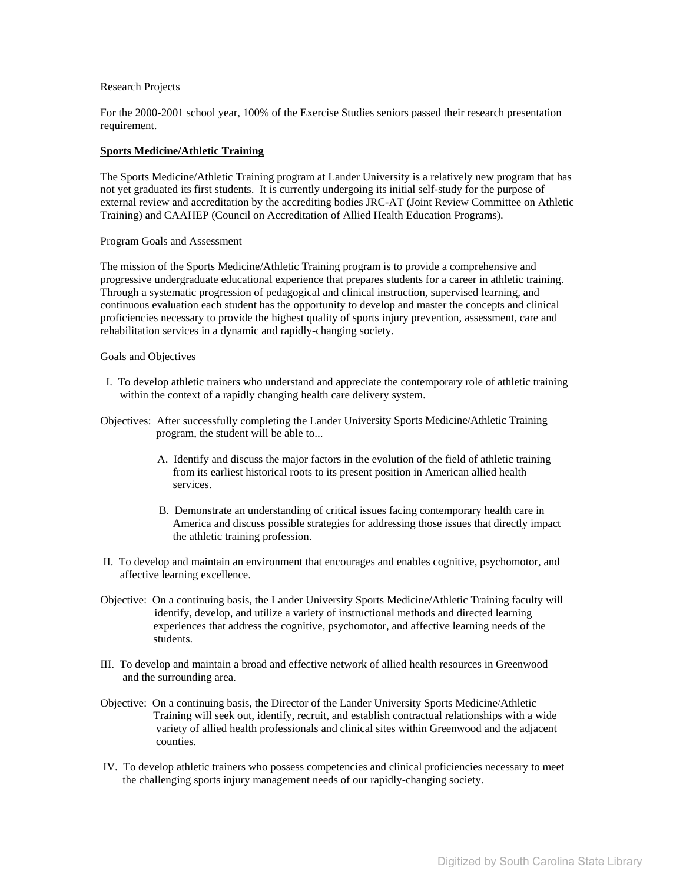### <span id="page-5-0"></span>Research Projects

For the 2000-2001 school year, 100% of the Exercise Studies seniors passed their research presentation requirement.

## **Sports Medicine/Athletic Training**

The Sports Medicine/Athletic Training program at Lander University is a relatively new program that has not yet graduated its first students. It is currently undergoing its initial self-study for the purpose of external review and accreditation by the accrediting bodies JRC-AT (Joint Review Committee on Athletic Training) and CAAHEP (Council on Accreditation of Allied Health Education Programs).

#### Program Goals and Assessment

The mission of the Sports Medicine/Athletic Training program is to provide a comprehensive and progressive undergraduate educational experience that prepares students for a career in athletic training. Through a systematic progression of pedagogical and clinical instruction, supervised learning, and continuous evaluation each student has the opportunity to develop and master the concepts and clinical proficiencies necessary to provide the highest quality of sports injury prevention, assessment, care and rehabilitation services in a dynamic and rapidly-changing society.

### Goals and Objectives

- I. To develop athletic trainers who understand and appreciate the contemporary role of athletic training within the context of a rapidly changing health care delivery system.
- Objectives: After successfully completing the Lander University Sports Medicine/Athletic Training program, the student will be able to...
	- A. Identify and discuss the major factors in the evolution of the field of athletic training from its earliest historical roots to its present position in American allied health services.
	- B. Demonstrate an understanding of critical issues facing contemporary health care in America and discuss possible strategies for addressing those issues that directly impact the athletic training profession.
- II. To develop and maintain an environment that encourages and enables cognitive, psychomotor, and affective learning excellence.
- Objective: On a continuing basis, the Lander University Sports Medicine/Athletic Training faculty will identify, develop, and utilize a variety of instructional methods and directed learning experiences that address the cognitive, psychomotor, and affective learning needs of the students.
- III. To develop and maintain a broad and effective network of allied health resources in Greenwood and the surrounding area.
- Objective: On a continuing basis, the Director of the Lander University Sports Medicine/Athletic Training will seek out, identify, recruit, and establish contractual relationships with a wide variety of allied health professionals and clinical sites within Greenwood and the adjacent counties.
- IV. To develop athletic trainers who possess competencies and clinical proficiencies necessary to meet the challenging sports injury management needs of our rapidly-changing society.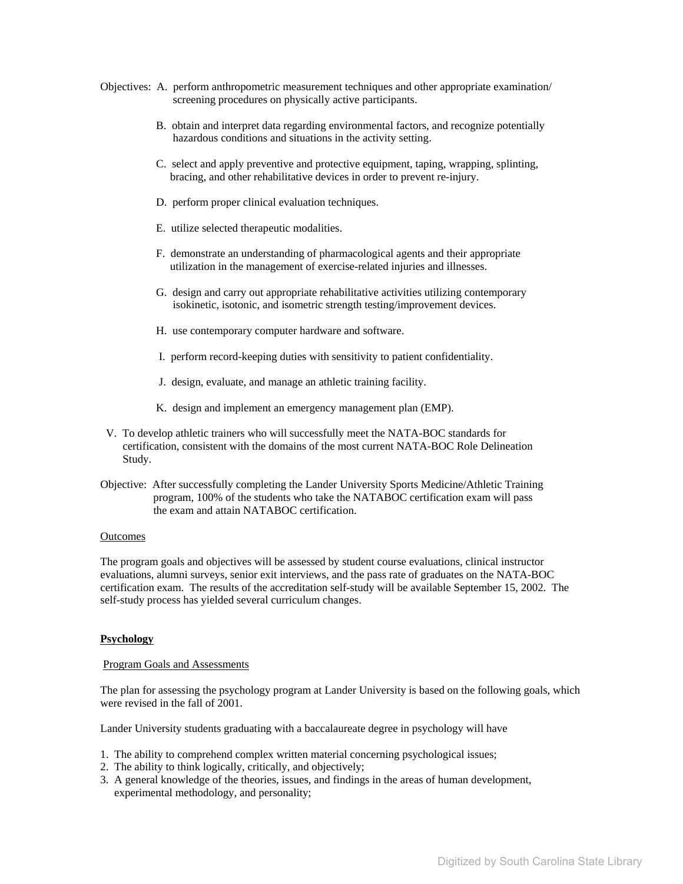- <span id="page-6-0"></span>Objectives: A. perform anthropometric measurement techniques and other appropriate examination/ screening procedures on physically active participants.
	- B. obtain and interpret data regarding environmental factors, and recognize potentially hazardous conditions and situations in the activity setting.
	- C. select and apply preventive and protective equipment, taping, wrapping, splinting, bracing, and other rehabilitative devices in order to prevent re-injury.
	- D. perform proper clinical evaluation techniques.
	- E. utilize selected therapeutic modalities.
	- F. demonstrate an understanding of pharmacological agents and their appropriate utilization in the management of exercise-related injuries and illnesses.
	- G. design and carry out appropriate rehabilitative activities utilizing contemporary isokinetic, isotonic, and isometric strength testing/improvement devices.
	- H. use contemporary computer hardware and software.
	- I. perform record-keeping duties with sensitivity to patient confidentiality.
	- J. design, evaluate, and manage an athletic training facility.
	- K. design and implement an emergency management plan (EMP).
- V. To develop athletic trainers who will successfully meet the NATA-BOC standards for certification, consistent with the domains of the most current NATA-BOC Role Delineation Study.
- Objective: After successfully completing the Lander University Sports Medicine/Athletic Training program, 100% of the students who take the NATABOC certification exam will pass the exam and attain NATABOC certification.

#### Outcomes

The program goals and objectives will be assessed by student course evaluations, clinical instructor evaluations, alumni surveys, senior exit interviews, and the pass rate of graduates on the NATA-BOC certification exam. The results of the accreditation self-study will be available September 15, 2002. The self-study process has yielded several curriculum changes.

#### **Psychology**

## Program Goals and Assessments

The plan for assessing the psychology program at Lander University is based on the following goals, which were revised in the fall of 2001.

Lander University students graduating with a baccalaureate degree in psychology will have

- 1. The ability to comprehend complex written material concerning psychological issues;
- 2. The ability to think logically, critically, and objectively;
- 3. A general knowledge of the theories, issues, and findings in the areas of human development, experimental methodology, and personality;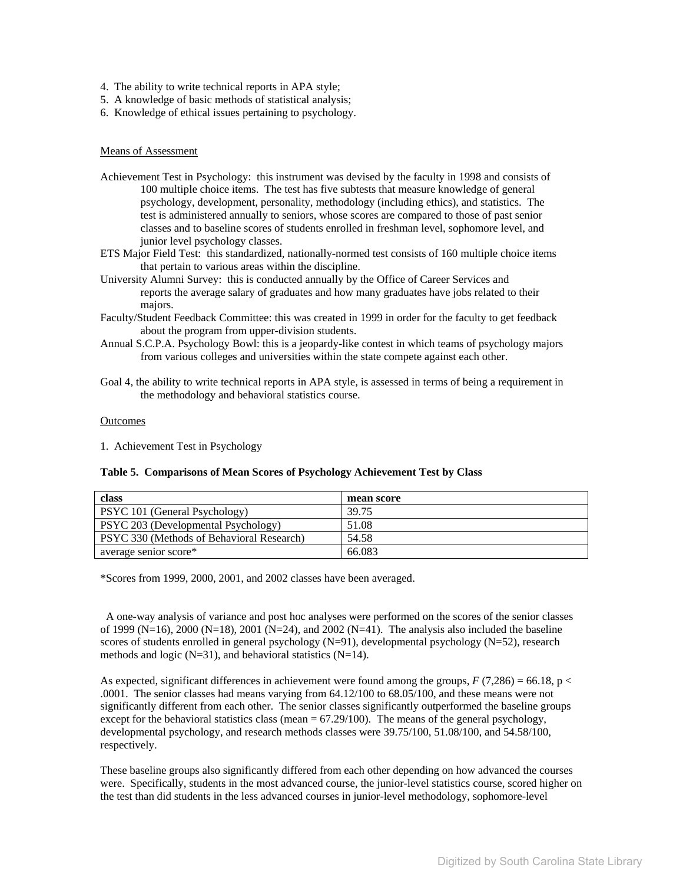- 4. The ability to write technical reports in APA style;
- 5. A knowledge of basic methods of statistical analysis;
- 6. Knowledge of ethical issues pertaining to psychology.

#### Means of Assessment

- Achievement Test in Psychology: this instrument was devised by the faculty in 1998 and consists of 100 multiple choice items. The test has five subtests that measure knowledge of general psychology, development, personality, methodology (including ethics), and statistics. The test is administered annually to seniors, whose scores are compared to those of past senior classes and to baseline scores of students enrolled in freshman level, sophomore level, and junior level psychology classes.
- ETS Major Field Test: this standardized, nationally-normed test consists of 160 multiple choice items that pertain to various areas within the discipline.
- University Alumni Survey: this is conducted annually by the Office of Career Services and reports the average salary of graduates and how many graduates have jobs related to their majors.
- Faculty/Student Feedback Committee: this was created in 1999 in order for the faculty to get feedback about the program from upper-division students.
- Annual S.C.P.A. Psychology Bowl: this is a jeopardy-like contest in which teams of psychology majors from various colleges and universities within the state compete against each other.
- Goal 4, the ability to write technical reports in APA style, is assessed in terms of being a requirement in the methodology and behavioral statistics course.

#### Outcomes

1. Achievement Test in Psychology

### **Table 5. Comparisons of Mean Scores of Psychology Achievement Test by Class**

| class                                     | mean score |
|-------------------------------------------|------------|
| PSYC 101 (General Psychology)             | 39.75      |
| PSYC 203 (Developmental Psychology)       | 51.08      |
| PSYC 330 (Methods of Behavioral Research) | 54.58      |
| average senior score*                     | 66.083     |

\*Scores from 1999, 2000, 2001, and 2002 classes have been averaged.

 A one-way analysis of variance and post hoc analyses were performed on the scores of the senior classes of 1999 (N=16), 2000 (N=18), 2001 (N=24), and 2002 (N=41). The analysis also included the baseline scores of students enrolled in general psychology (N=91), developmental psychology (N=52), research methods and logic ( $N=31$ ), and behavioral statistics ( $N=14$ ).

As expected, significant differences in achievement were found among the groups,  $F(7,286) = 66.18$ , p < .0001. The senior classes had means varying from 64.12/100 to 68.05/100, and these means were not significantly different from each other. The senior classes significantly outperformed the baseline groups except for the behavioral statistics class (mean  $= 67.29/100$ ). The means of the general psychology, developmental psychology, and research methods classes were 39.75/100, 51.08/100, and 54.58/100, respectively.

These baseline groups also significantly differed from each other depending on how advanced the courses were. Specifically, students in the most advanced course, the junior-level statistics course, scored higher on the test than did students in the less advanced courses in junior-level methodology, sophomore-level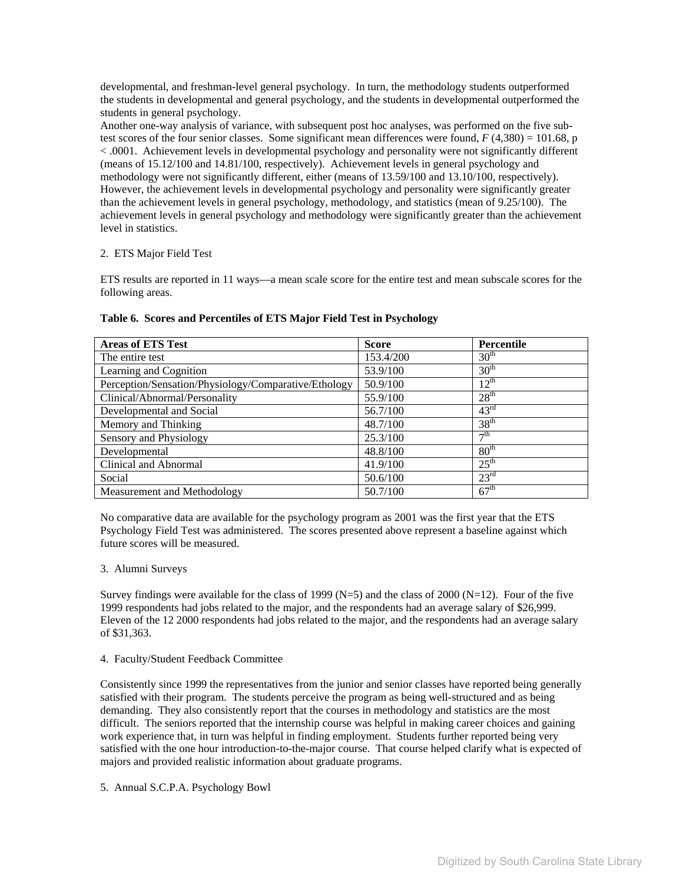developmental, and freshman-level general psychology. In turn, the methodology students outperformed the students in developmental and general psychology, and the students in developmental outperformed the students in general psychology.

Another one-way analysis of variance, with subsequent post hoc analyses, was performed on the five subtest scores of the four senior classes. Some significant mean differences were found, *F* (4,380) = 101.68, p < .0001. Achievement levels in developmental psychology and personality were not significantly different (means of 15.12/100 and 14.81/100, respectively). Achievement levels in general psychology and methodology were not significantly different, either (means of 13.59/100 and 13.10/100, respectively). However, the achievement levels in developmental psychology and personality were significantly greater than the achievement levels in general psychology, methodology, and statistics (mean of 9.25/100). The achievement levels in general psychology and methodology were significantly greater than the achievement level in statistics.

# 2. ETS Major Field Test

ETS results are reported in 11 ways—a mean scale score for the entire test and mean subscale scores for the following areas.

| <b>Areas of ETS Test</b>                             | <b>Score</b> | Percentile       |
|------------------------------------------------------|--------------|------------------|
| The entire test                                      | 153.4/200    | 30 <sup>th</sup> |
| Learning and Cognition                               | 53.9/100     | 30 <sup>th</sup> |
| Perception/Sensation/Physiology/Comparative/Ethology | 50.9/100     | $12^{th}$        |
| Clinical/Abnormal/Personality                        | 55.9/100     | 28 <sup>th</sup> |
| Developmental and Social                             | 56.7/100     | 43 <sup>rd</sup> |
| Memory and Thinking                                  | 48.7/100     | 38 <sup>th</sup> |
| Sensory and Physiology                               | 25.3/100     | $\neg$ th        |
| Developmental                                        | 48.8/100     | 80 <sup>th</sup> |
| Clinical and Abnormal                                | 41.9/100     | $25^{\text{th}}$ |
| Social                                               | 50.6/100     | $23^{\text{rd}}$ |
| Measurement and Methodology                          | 50.7/100     | 67 <sup>th</sup> |

# **Table 6. Scores and Percentiles of ETS Major Field Test in Psychology**

No comparative data are available for the psychology program as 2001 was the first year that the ETS Psychology Field Test was administered. The scores presented above represent a baseline against which future scores will be measured.

# 3. Alumni Surveys

Survey findings were available for the class of 1999 ( $N=5$ ) and the class of 2000 ( $N=12$ ). Four of the five 1999 respondents had jobs related to the major, and the respondents had an average salary of \$26,999. Eleven of the 12 2000 respondents had jobs related to the major, and the respondents had an average salary of \$31,363.

# 4. Faculty/Student Feedback Committee

Consistently since 1999 the representatives from the junior and senior classes have reported being generally satisfied with their program. The students perceive the program as being well-structured and as being demanding. They also consistently report that the courses in methodology and statistics are the most difficult. The seniors reported that the internship course was helpful in making career choices and gaining work experience that, in turn was helpful in finding employment. Students further reported being very satisfied with the one hour introduction-to-the-major course. That course helped clarify what is expected of majors and provided realistic information about graduate programs.

5. Annual S.C.P.A. Psychology Bowl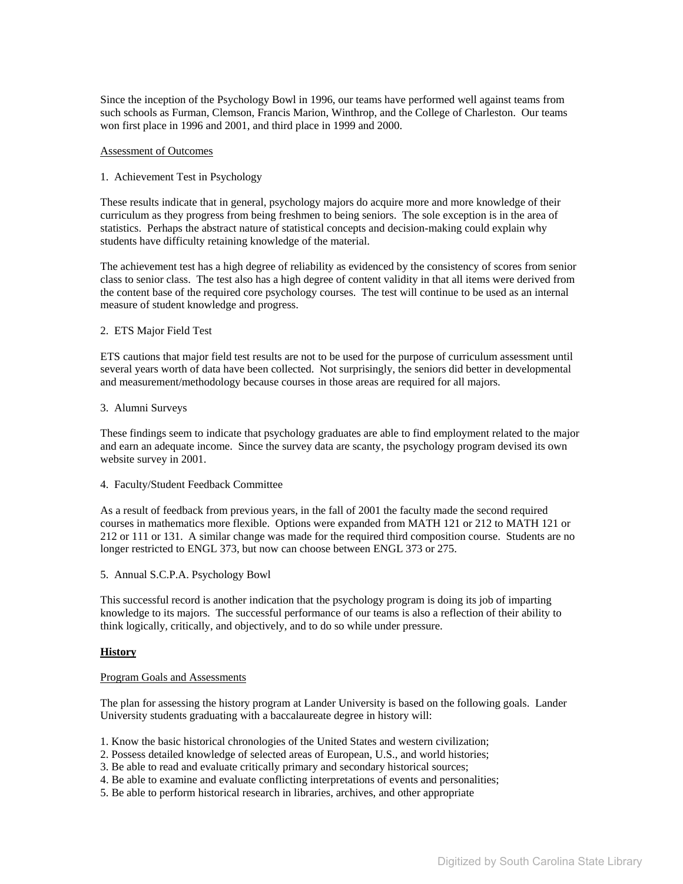<span id="page-9-0"></span>Since the inception of the Psychology Bowl in 1996, our teams have performed well against teams from such schools as Furman, Clemson, Francis Marion, Winthrop, and the College of Charleston. Our teams won first place in 1996 and 2001, and third place in 1999 and 2000.

### Assessment of Outcomes

# 1. Achievement Test in Psychology

These results indicate that in general, psychology majors do acquire more and more knowledge of their curriculum as they progress from being freshmen to being seniors. The sole exception is in the area of statistics. Perhaps the abstract nature of statistical concepts and decision-making could explain why students have difficulty retaining knowledge of the material.

The achievement test has a high degree of reliability as evidenced by the consistency of scores from senior class to senior class. The test also has a high degree of content validity in that all items were derived from the content base of the required core psychology courses. The test will continue to be used as an internal measure of student knowledge and progress.

# 2. ETS Major Field Test

ETS cautions that major field test results are not to be used for the purpose of curriculum assessment until several years worth of data have been collected. Not surprisingly, the seniors did better in developmental and measurement/methodology because courses in those areas are required for all majors.

### 3. Alumni Surveys

These findings seem to indicate that psychology graduates are able to find employment related to the major and earn an adequate income. Since the survey data are scanty, the psychology program devised its own website survey in 2001.

#### 4. Faculty/Student Feedback Committee

As a result of feedback from previous years, in the fall of 2001 the faculty made the second required courses in mathematics more flexible. Options were expanded from MATH 121 or 212 to MATH 121 or 212 or 111 or 131. A similar change was made for the required third composition course. Students are no longer restricted to ENGL 373, but now can choose between ENGL 373 or 275.

# 5. Annual S.C.P.A. Psychology Bowl

This successful record is another indication that the psychology program is doing its job of imparting knowledge to its majors. The successful performance of our teams is also a reflection of their ability to think logically, critically, and objectively, and to do so while under pressure.

# **History**

#### Program Goals and Assessments

The plan for assessing the history program at Lander University is based on the following goals. Lander University students graduating with a baccalaureate degree in history will:

1. Know the basic historical chronologies of the United States and western civilization;

- 2. Possess detailed knowledge of selected areas of European, U.S., and world histories;
- 3. Be able to read and evaluate critically primary and secondary historical sources;
- 4. Be able to examine and evaluate conflicting interpretations of events and personalities;
- 5. Be able to perform historical research in libraries, archives, and other appropriate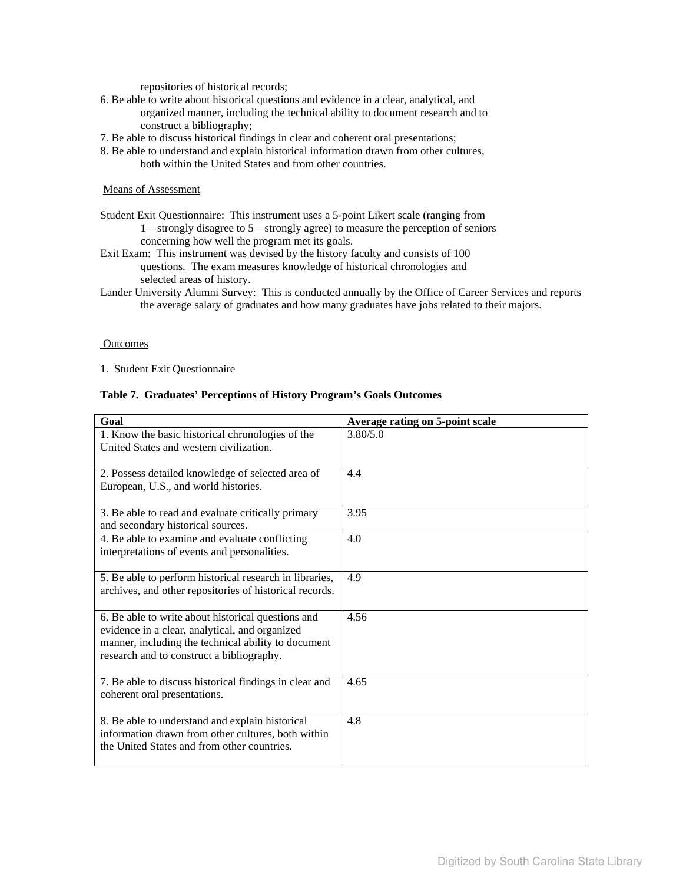repositories of historical records;

- 6. Be able to write about historical questions and evidence in a clear, analytical, and organized manner, including the technical ability to document research and to construct a bibliography;
- 7. Be able to discuss historical findings in clear and coherent oral presentations;
- 8. Be able to understand and explain historical information drawn from other cultures, both within the United States and from other countries.

# Means of Assessment

- Student Exit Questionnaire: This instrument uses a 5-point Likert scale (ranging from 1—strongly disagree to 5—strongly agree) to measure the perception of seniors concerning how well the program met its goals.
- Exit Exam: This instrument was devised by the history faculty and consists of 100 questions. The exam measures knowledge of historical chronologies and selected areas of history.
- Lander University Alumni Survey: This is conducted annually by the Office of Career Services and reports the average salary of graduates and how many graduates have jobs related to their majors.

### **Outcomes**

1. Student Exit Questionnaire

# **Table 7. Graduates' Perceptions of History Program's Goals Outcomes**

| Goal                                                                                                                                                                                                     | <b>Average rating on 5-point scale</b> |
|----------------------------------------------------------------------------------------------------------------------------------------------------------------------------------------------------------|----------------------------------------|
| 1. Know the basic historical chronologies of the<br>United States and western civilization.                                                                                                              | 3.80/5.0                               |
| 2. Possess detailed knowledge of selected area of<br>European, U.S., and world histories.                                                                                                                | 4.4                                    |
| 3. Be able to read and evaluate critically primary<br>and secondary historical sources.                                                                                                                  | 3.95                                   |
| 4. Be able to examine and evaluate conflicting<br>interpretations of events and personalities.                                                                                                           | 4.0                                    |
| 5. Be able to perform historical research in libraries,<br>archives, and other repositories of historical records.                                                                                       | 4.9                                    |
| 6. Be able to write about historical questions and<br>evidence in a clear, analytical, and organized<br>manner, including the technical ability to document<br>research and to construct a bibliography. | 4.56                                   |
| 7. Be able to discuss historical findings in clear and<br>coherent oral presentations.                                                                                                                   | 4.65                                   |
| 8. Be able to understand and explain historical<br>information drawn from other cultures, both within<br>the United States and from other countries.                                                     | 4.8                                    |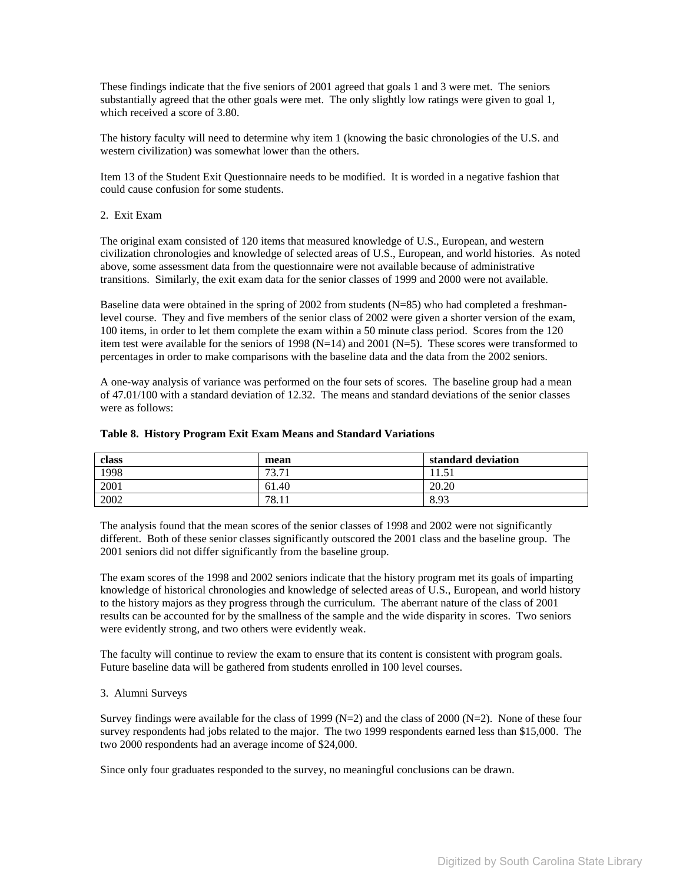These findings indicate that the five seniors of 2001 agreed that goals 1 and 3 were met. The seniors substantially agreed that the other goals were met. The only slightly low ratings were given to goal 1, which received a score of 3.80.

The history faculty will need to determine why item 1 (knowing the basic chronologies of the U.S. and western civilization) was somewhat lower than the others.

Item 13 of the Student Exit Questionnaire needs to be modified. It is worded in a negative fashion that could cause confusion for some students.

# 2. Exit Exam

The original exam consisted of 120 items that measured knowledge of U.S., European, and western civilization chronologies and knowledge of selected areas of U.S., European, and world histories. As noted above, some assessment data from the questionnaire were not available because of administrative transitions. Similarly, the exit exam data for the senior classes of 1999 and 2000 were not available.

Baseline data were obtained in the spring of 2002 from students (N=85) who had completed a freshmanlevel course. They and five members of the senior class of 2002 were given a shorter version of the exam, 100 items, in order to let them complete the exam within a 50 minute class period. Scores from the 120 item test were available for the seniors of 1998 (N=14) and 2001 (N=5). These scores were transformed to percentages in order to make comparisons with the baseline data and the data from the 2002 seniors.

A one-way analysis of variance was performed on the four sets of scores. The baseline group had a mean of 47.01/100 with a standard deviation of 12.32. The means and standard deviations of the senior classes were as follows:

| class | mean               | standard deviation |
|-------|--------------------|--------------------|
| 1998  | 72.71<br>$'$ J.I 1 | 11.71              |

#### **Table 8. History Program Exit Exam Means and Standard Variations**

2001 61.40 20.20 2002 78.11 8.93

The analysis found that the mean scores of the senior classes of 1998 and 2002 were not significantly different. Both of these senior classes significantly outscored the 2001 class and the baseline group. The 2001 seniors did not differ significantly from the baseline group.

The exam scores of the 1998 and 2002 seniors indicate that the history program met its goals of imparting knowledge of historical chronologies and knowledge of selected areas of U.S., European, and world history to the history majors as they progress through the curriculum. The aberrant nature of the class of 2001 results can be accounted for by the smallness of the sample and the wide disparity in scores. Two seniors were evidently strong, and two others were evidently weak.

The faculty will continue to review the exam to ensure that its content is consistent with program goals. Future baseline data will be gathered from students enrolled in 100 level courses.

# 3. Alumni Surveys

Survey findings were available for the class of 1999 ( $N=2$ ) and the class of 2000 ( $N=2$ ). None of these four survey respondents had jobs related to the major. The two 1999 respondents earned less than \$15,000. The two 2000 respondents had an average income of \$24,000.

Since only four graduates responded to the survey, no meaningful conclusions can be drawn.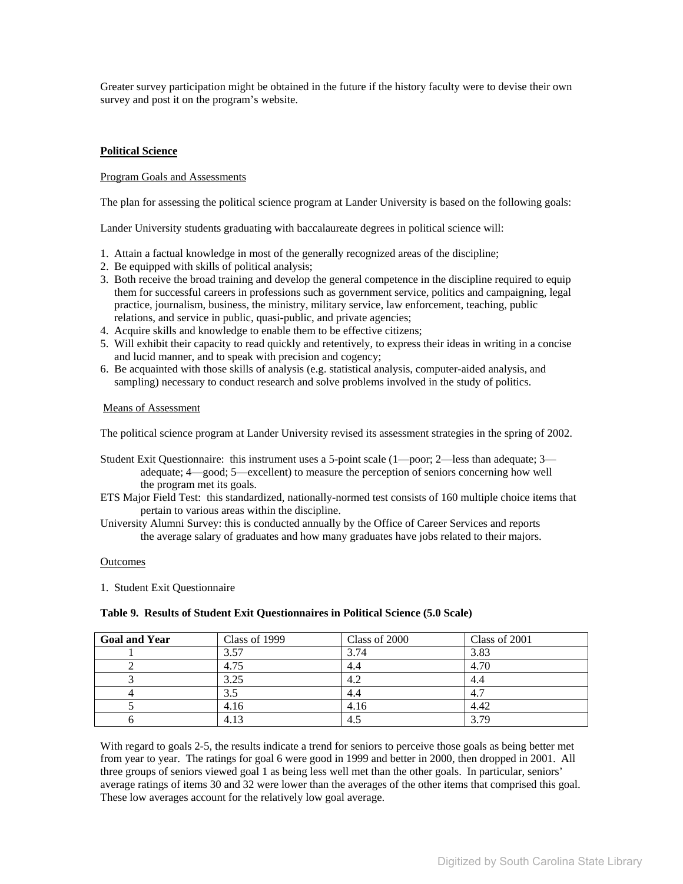<span id="page-12-0"></span>Greater survey participation might be obtained in the future if the history faculty were to devise their own survey and post it on the program's website.

# **Political Science**

# Program Goals and Assessments

The plan for assessing the political science program at Lander University is based on the following goals:

Lander University students graduating with baccalaureate degrees in political science will:

- 1. Attain a factual knowledge in most of the generally recognized areas of the discipline;
- 2. Be equipped with skills of political analysis;
- 3. Both receive the broad training and develop the general competence in the discipline required to equip them for successful careers in professions such as government service, politics and campaigning, legal practice, journalism, business, the ministry, military service, law enforcement, teaching, public relations, and service in public, quasi-public, and private agencies;
- 4. Acquire skills and knowledge to enable them to be effective citizens;
- 5. Will exhibit their capacity to read quickly and retentively, to express their ideas in writing in a concise and lucid manner, and to speak with precision and cogency;
- 6. Be acquainted with those skills of analysis (e.g. statistical analysis, computer-aided analysis, and sampling) necessary to conduct research and solve problems involved in the study of politics.

# Means of Assessment

The political science program at Lander University revised its assessment strategies in the spring of 2002.

- Student Exit Questionnaire: this instrument uses a 5-point scale (1—poor; 2—less than adequate; 3 adequate; 4—good; 5—excellent) to measure the perception of seniors concerning how well the program met its goals.
- ETS Major Field Test: this standardized, nationally-normed test consists of 160 multiple choice items that pertain to various areas within the discipline.
- University Alumni Survey: this is conducted annually by the Office of Career Services and reports the average salary of graduates and how many graduates have jobs related to their majors.

# Outcomes

1. Student Exit Questionnaire

# **Table 9. Results of Student Exit Questionnaires in Political Science (5.0 Scale)**

| <b>Goal and Year</b> | Class of 1999 | Class of 2000 | Class of 2001 |
|----------------------|---------------|---------------|---------------|
|                      | 3.57          | 3.74          | 3.83          |
|                      | 4.75          | 4.4           | 4.70          |
|                      | 3.25          | 4.2           | 4.4           |
|                      | 3.5           | 4.4           | 4.7           |
|                      | 4.16          | 4.16          | 4.42          |
|                      | 4.13          | 4.5           | 3.79          |

With regard to goals 2-5, the results indicate a trend for seniors to perceive those goals as being better met from year to year. The ratings for goal 6 were good in 1999 and better in 2000, then dropped in 2001. All three groups of seniors viewed goal 1 as being less well met than the other goals. In particular, seniors' average ratings of items 30 and 32 were lower than the averages of the other items that comprised this goal. These low averages account for the relatively low goal average.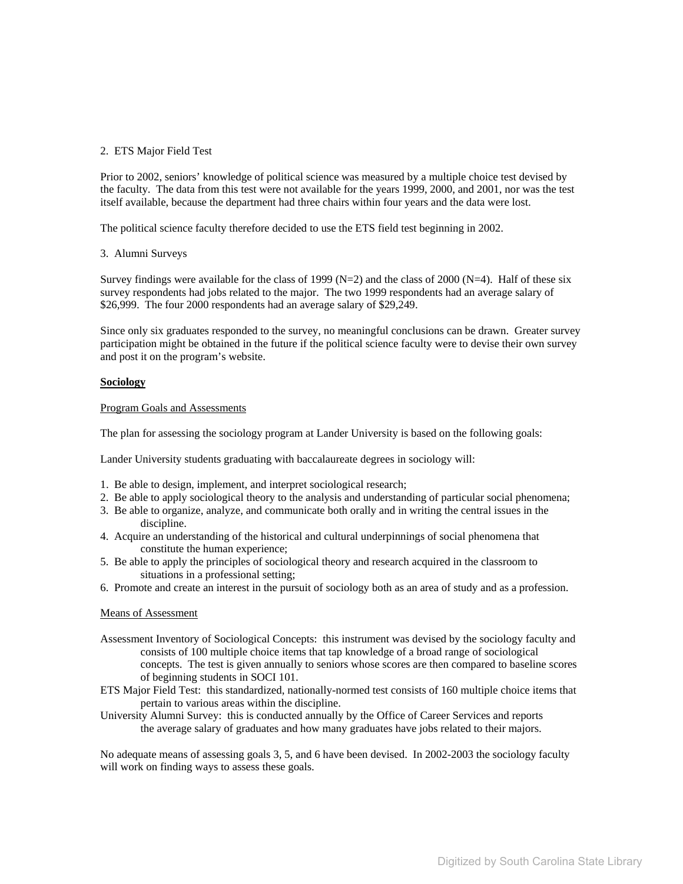# <span id="page-13-0"></span>2. ETS Major Field Test

Prior to 2002, seniors' knowledge of political science was measured by a multiple choice test devised by the faculty. The data from this test were not available for the years 1999, 2000, and 2001, nor was the test itself available, because the department had three chairs within four years and the data were lost.

The political science faculty therefore decided to use the ETS field test beginning in 2002.

### 3. Alumni Surveys

Survey findings were available for the class of 1999 ( $N=2$ ) and the class of 2000 ( $N=4$ ). Half of these six survey respondents had jobs related to the major. The two 1999 respondents had an average salary of \$26,999. The four 2000 respondents had an average salary of \$29,249.

Since only six graduates responded to the survey, no meaningful conclusions can be drawn. Greater survey participation might be obtained in the future if the political science faculty were to devise their own survey and post it on the program's website.

### **Sociology**

#### Program Goals and Assessments

The plan for assessing the sociology program at Lander University is based on the following goals:

Lander University students graduating with baccalaureate degrees in sociology will:

- 1. Be able to design, implement, and interpret sociological research;
- 2. Be able to apply sociological theory to the analysis and understanding of particular social phenomena;
- 3. Be able to organize, analyze, and communicate both orally and in writing the central issues in the discipline.
- 4. Acquire an understanding of the historical and cultural underpinnings of social phenomena that constitute the human experience;
- 5. Be able to apply the principles of sociological theory and research acquired in the classroom to situations in a professional setting;
- 6. Promote and create an interest in the pursuit of sociology both as an area of study and as a profession.

# Means of Assessment

- Assessment Inventory of Sociological Concepts: this instrument was devised by the sociology faculty and consists of 100 multiple choice items that tap knowledge of a broad range of sociological concepts. The test is given annually to seniors whose scores are then compared to baseline scores of beginning students in SOCI 101.
- ETS Major Field Test: this standardized, nationally-normed test consists of 160 multiple choice items that pertain to various areas within the discipline.
- University Alumni Survey: this is conducted annually by the Office of Career Services and reports the average salary of graduates and how many graduates have jobs related to their majors.

No adequate means of assessing goals 3, 5, and 6 have been devised. In 2002-2003 the sociology faculty will work on finding ways to assess these goals.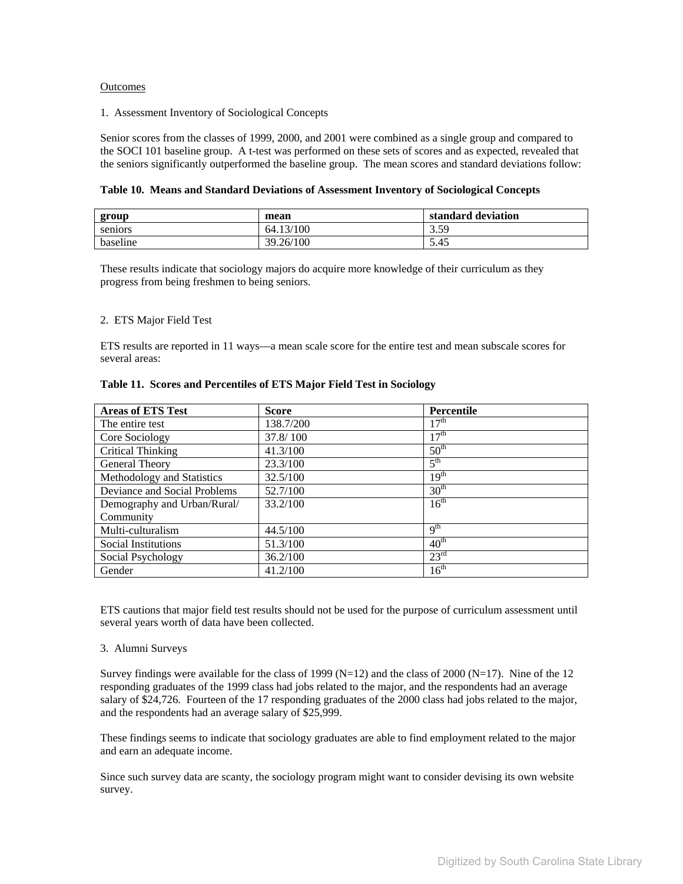### **Outcomes**

1. Assessment Inventory of Sociological Concepts

Senior scores from the classes of 1999, 2000, and 2001 were combined as a single group and compared to the SOCI 101 baseline group. A t-test was performed on these sets of scores and as expected, revealed that the seniors significantly outperformed the baseline group. The mean scores and standard deviations follow:

# **Table 10. Means and Standard Deviations of Assessment Inventory of Sociological Concepts**

| group    | mean      | standard deviation |
|----------|-----------|--------------------|
| seniors  | 64.13/100 | 3.59<br>. پ. پ     |
| baseline | 39.26/100 | 5.45               |

These results indicate that sociology majors do acquire more knowledge of their curriculum as they progress from being freshmen to being seniors.

### 2. ETS Major Field Test

ETS results are reported in 11 ways—a mean scale score for the entire test and mean subscale scores for several areas:

| <b>Areas of ETS Test</b>     | <b>Score</b> | Percentile       |
|------------------------------|--------------|------------------|
| The entire test              | 138.7/200    | 17 <sup>th</sup> |
| Core Sociology               | 37.8/100     | 17 <sup>th</sup> |
| <b>Critical Thinking</b>     | 41.3/100     | 50 <sup>th</sup> |
| General Theory               | 23.3/100     | $5^{\text{th}}$  |
| Methodology and Statistics   | 32.5/100     | 19 <sup>th</sup> |
| Deviance and Social Problems | 52.7/100     | 30 <sup>th</sup> |
| Demography and Urban/Rural/  | 33.2/100     | 16 <sup>th</sup> |
| Community                    |              |                  |
| Multi-culturalism            | 44.5/100     | 9 <sup>th</sup>  |
| Social Institutions          | 51.3/100     | $40^{\text{th}}$ |
| Social Psychology            | 36.2/100     | $23^{\rm rd}$    |
| Gender                       | 41.2/100     | 16 <sup>th</sup> |

### **Table 11. Scores and Percentiles of ETS Major Field Test in Sociology**

ETS cautions that major field test results should not be used for the purpose of curriculum assessment until several years worth of data have been collected.

#### 3. Alumni Surveys

Survey findings were available for the class of 1999 ( $N=12$ ) and the class of 2000 ( $N=17$ ). Nine of the 12 responding graduates of the 1999 class had jobs related to the major, and the respondents had an average salary of \$24,726. Fourteen of the 17 responding graduates of the 2000 class had jobs related to the major, and the respondents had an average salary of \$25,999.

These findings seems to indicate that sociology graduates are able to find employment related to the major and earn an adequate income.

Since such survey data are scanty, the sociology program might want to consider devising its own website survey.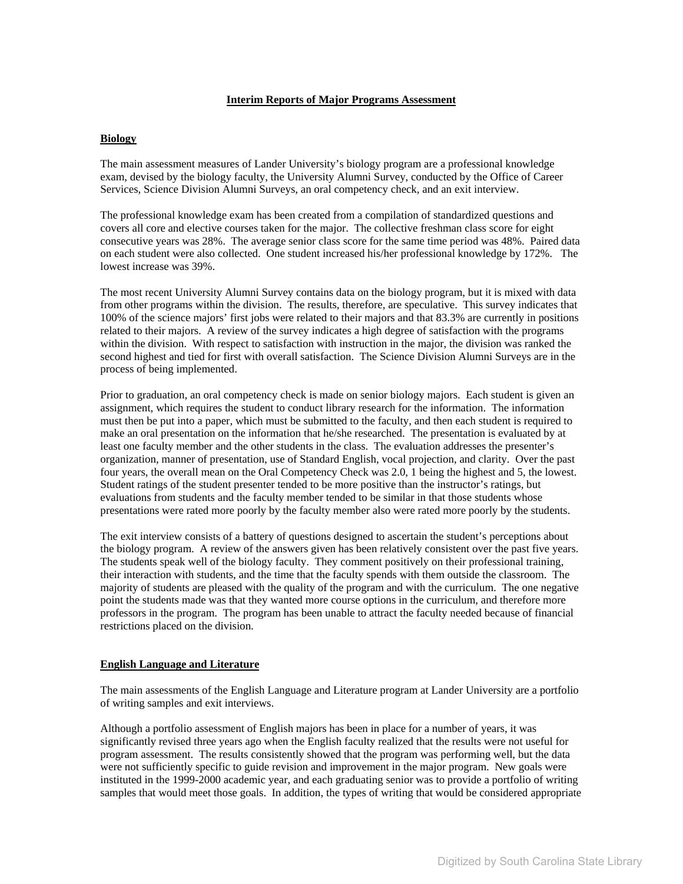# **Interim Reports of Major Programs Assessment**

# <span id="page-15-0"></span>**Biology**

The main assessment measures of Lander University's biology program are a professional knowledge exam, devised by the biology faculty, the University Alumni Survey, conducted by the Office of Career Services, Science Division Alumni Surveys, an oral competency check, and an exit interview.

The professional knowledge exam has been created from a compilation of standardized questions and covers all core and elective courses taken for the major. The collective freshman class score for eight consecutive years was 28%. The average senior class score for the same time period was 48%. Paired data on each student were also collected. One student increased his/her professional knowledge by 172%. The lowest increase was 39%.

The most recent University Alumni Survey contains data on the biology program, but it is mixed with data from other programs within the division. The results, therefore, are speculative. This survey indicates that 100% of the science majors' first jobs were related to their majors and that 83.3% are currently in positions related to their majors. A review of the survey indicates a high degree of satisfaction with the programs within the division. With respect to satisfaction with instruction in the major, the division was ranked the second highest and tied for first with overall satisfaction. The Science Division Alumni Surveys are in the process of being implemented.

Prior to graduation, an oral competency check is made on senior biology majors. Each student is given an assignment, which requires the student to conduct library research for the information. The information must then be put into a paper, which must be submitted to the faculty, and then each student is required to make an oral presentation on the information that he/she researched. The presentation is evaluated by at least one faculty member and the other students in the class. The evaluation addresses the presenter's organization, manner of presentation, use of Standard English, vocal projection, and clarity. Over the past four years, the overall mean on the Oral Competency Check was 2.0, 1 being the highest and 5, the lowest. Student ratings of the student presenter tended to be more positive than the instructor's ratings, but evaluations from students and the faculty member tended to be similar in that those students whose presentations were rated more poorly by the faculty member also were rated more poorly by the students.

The exit interview consists of a battery of questions designed to ascertain the student's perceptions about the biology program. A review of the answers given has been relatively consistent over the past five years. The students speak well of the biology faculty. They comment positively on their professional training, their interaction with students, and the time that the faculty spends with them outside the classroom. The majority of students are pleased with the quality of the program and with the curriculum. The one negative point the students made was that they wanted more course options in the curriculum, and therefore more professors in the program. The program has been unable to attract the faculty needed because of financial restrictions placed on the division.

# **English Language and Literature**

The main assessments of the English Language and Literature program at Lander University are a portfolio of writing samples and exit interviews.

Although a portfolio assessment of English majors has been in place for a number of years, it was significantly revised three years ago when the English faculty realized that the results were not useful for program assessment. The results consistently showed that the program was performing well, but the data were not sufficiently specific to guide revision and improvement in the major program. New goals were instituted in the 1999-2000 academic year, and each graduating senior was to provide a portfolio of writing samples that would meet those goals. In addition, the types of writing that would be considered appropriate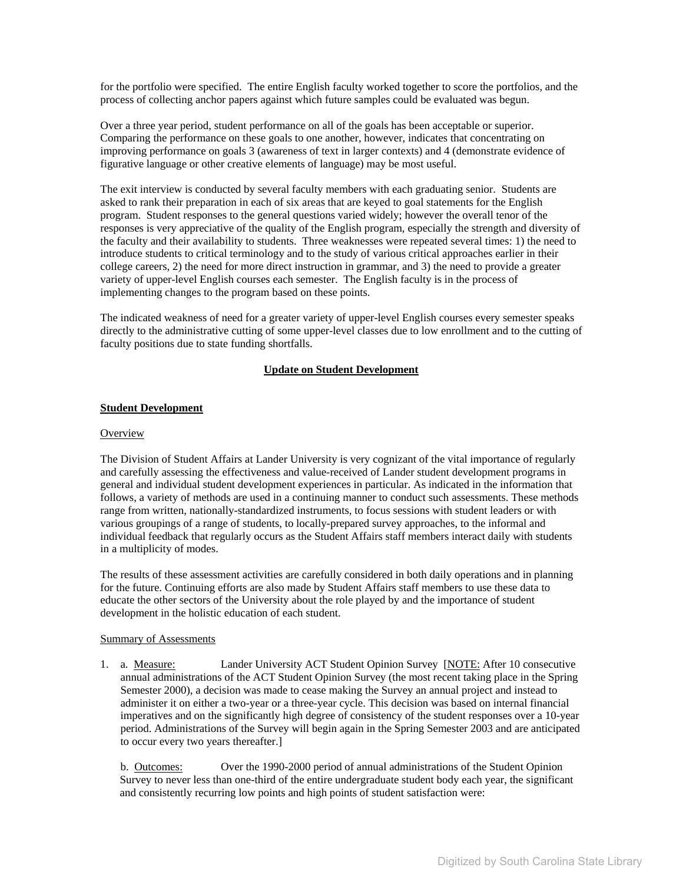<span id="page-16-0"></span>for the portfolio were specified. The entire English faculty worked together to score the portfolios, and the process of collecting anchor papers against which future samples could be evaluated was begun.

Over a three year period, student performance on all of the goals has been acceptable or superior. Comparing the performance on these goals to one another, however, indicates that concentrating on improving performance on goals 3 (awareness of text in larger contexts) and 4 (demonstrate evidence of figurative language or other creative elements of language) may be most useful.

The exit interview is conducted by several faculty members with each graduating senior. Students are asked to rank their preparation in each of six areas that are keyed to goal statements for the English program. Student responses to the general questions varied widely; however the overall tenor of the responses is very appreciative of the quality of the English program, especially the strength and diversity of the faculty and their availability to students. Three weaknesses were repeated several times: 1) the need to introduce students to critical terminology and to the study of various critical approaches earlier in their college careers, 2) the need for more direct instruction in grammar, and 3) the need to provide a greater variety of upper-level English courses each semester. The English faculty is in the process of implementing changes to the program based on these points.

The indicated weakness of need for a greater variety of upper-level English courses every semester speaks directly to the administrative cutting of some upper-level classes due to low enrollment and to the cutting of faculty positions due to state funding shortfalls.

# **Update on Student Development**

### **Student Development**

#### Overview

The Division of Student Affairs at Lander University is very cognizant of the vital importance of regularly and carefully assessing the effectiveness and value-received of Lander student development programs in general and individual student development experiences in particular. As indicated in the information that follows, a variety of methods are used in a continuing manner to conduct such assessments. These methods range from written, nationally-standardized instruments, to focus sessions with student leaders or with various groupings of a range of students, to locally-prepared survey approaches, to the informal and individual feedback that regularly occurs as the Student Affairs staff members interact daily with students in a multiplicity of modes.

The results of these assessment activities are carefully considered in both daily operations and in planning for the future. Continuing efforts are also made by Student Affairs staff members to use these data to educate the other sectors of the University about the role played by and the importance of student development in the holistic education of each student.

#### Summary of Assessments

1. a. Measure: Lander University ACT Student Opinion Survey [NOTE: After 10 consecutive annual administrations of the ACT Student Opinion Survey (the most recent taking place in the Spring Semester 2000), a decision was made to cease making the Survey an annual project and instead to administer it on either a two-year or a three-year cycle. This decision was based on internal financial imperatives and on the significantly high degree of consistency of the student responses over a 10-year period. Administrations of the Survey will begin again in the Spring Semester 2003 and are anticipated to occur every two years thereafter.]

 b. Outcomes: Over the 1990-2000 period of annual administrations of the Student Opinion Survey to never less than one-third of the entire undergraduate student body each year, the significant and consistently recurring low points and high points of student satisfaction were: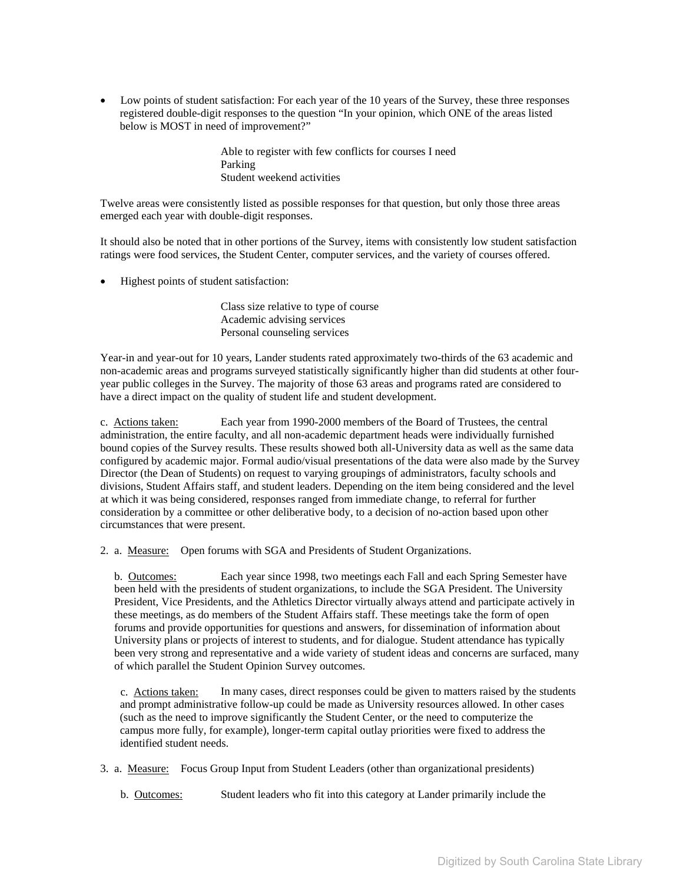• Low points of student satisfaction: For each year of the 10 years of the Survey, these three responses registered double-digit responses to the question "In your opinion, which ONE of the areas listed below is MOST in need of improvement?"

> Able to register with few conflicts for courses I need Parking Student weekend activities

Twelve areas were consistently listed as possible responses for that question, but only those three areas emerged each year with double-digit responses.

It should also be noted that in other portions of the Survey, items with consistently low student satisfaction ratings were food services, the Student Center, computer services, and the variety of courses offered.

• Highest points of student satisfaction:

 Class size relative to type of course Academic advising services Personal counseling services

Year-in and year-out for 10 years, Lander students rated approximately two-thirds of the 63 academic and non-academic areas and programs surveyed statistically significantly higher than did students at other fouryear public colleges in the Survey. The majority of those 63 areas and programs rated are considered to have a direct impact on the quality of student life and student development.

c. Actions taken: Each year from 1990-2000 members of the Board of Trustees, the central administration, the entire faculty, and all non-academic department heads were individually furnished bound copies of the Survey results. These results showed both all-University data as well as the same data configured by academic major. Formal audio/visual presentations of the data were also made by the Survey Director (the Dean of Students) on request to varying groupings of administrators, faculty schools and divisions, Student Affairs staff, and student leaders. Depending on the item being considered and the level at which it was being considered, responses ranged from immediate change, to referral for further consideration by a committee or other deliberative body, to a decision of no-action based upon other circumstances that were present.

2. a. Measure: Open forums with SGA and Presidents of Student Organizations.

 b. Outcomes: Each year since 1998, two meetings each Fall and each Spring Semester have been held with the presidents of student organizations, to include the SGA President. The University President, Vice Presidents, and the Athletics Director virtually always attend and participate actively in these meetings, as do members of the Student Affairs staff. These meetings take the form of open forums and provide opportunities for questions and answers, for dissemination of information about University plans or projects of interest to students, and for dialogue. Student attendance has typically been very strong and representative and a wide variety of student ideas and concerns are surfaced, many of which parallel the Student Opinion Survey outcomes.

 c. Actions taken: In many cases, direct responses could be given to matters raised by the students and prompt administrative follow-up could be made as University resources allowed. In other cases (such as the need to improve significantly the Student Center, or the need to computerize the campus more fully, for example), longer-term capital outlay priorities were fixed to address the identified student needs.

- 3. a. Measure: Focus Group Input from Student Leaders (other than organizational presidents)
	- b. Outcomes: Student leaders who fit into this category at Lander primarily include the